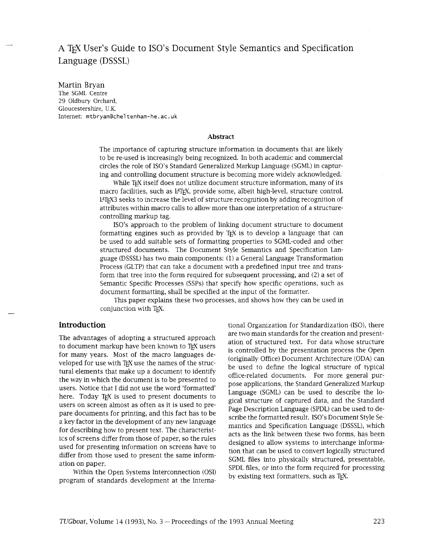# A TEX User's Guide to ISO's Document Style Semantics and Specification Language (DSSSL)

#### Martin Bryan

The SGML Centre 29 Oldbury Orchard, Gloucestershire, U.K. Internet: mtbryan@cheltenham-he.ac.uk

#### **Abstract**

The importance of capturing structure information in documents that are likely to be re-used is increasingly being recognized. In both academic and commercial circles the role of ISO's Standard Generalized Markup Language (SGML) in capturing and controlling document structure is becoming more widely acknowledged.

While TFX itself does not utilize document structure information, many of its macro facilities, such as LATEX, provide some, albeit high-level, structure control. @T#3 seeks to increase the level of structure recognition by adding recognition of attributes within macro calls to allow more than one interpretation of a structurecontrolling markup tag.

ISO's approach to the problem of linking document structure to document formatting engines such as provided by  $Tr X$  is to develop a language that can be used to add suitable sets of formatting properties to SGML-coded and other structured documents. The Document Style Semantics and Specification Language (DSSSL) has two main components: (1) a General Language Transformation Process (GLTP) that can take a document with a predefined input tree and transform that tree into the form required for subsequent processing, and (2) a set of Semantic Specific Processes (SSPs) that specify how specific operations, such as document formatting, shall be specified at the input of the formatter.

This paper explains these two processes, and shows how they can be used in conjunction with TEX.

## **Introduction**

The advantages of adopting a structured approach to document markup have been known to TEX users for many years. Most of the macro languages developed for use with TEX use the names of the structural elements that make up a document to identify the way in which the document is to be presented to users. Notice that I did not use the word 'formatted' here. Today TEX is used to present documents to users on screen almost as often as it is used to prepare documents for printing, and this fact has to be a key factor in the development of any new language for describing how to present text. The characteristics of screens differ from those of paper, so the rules used for presenting information on screens have to differ from those used to present the same information on paper.

Within the Open Systems Interconnection (OSI) program of standards development at the International Organization for Standardization (ISO), there are two main standards for the creation and presentation of structured text. For data whose structure is controlled by the presentation process the Open (originally Office) Document Archtecture (ODA) can be used to define the logical structure of typical office-related documents. For more general purpose applications, the Standard Generalized Markup Language (SGML) can be used to describe the logical structure of captured data, and the Standard Page Description Language (SPDL) can be used to describe the formatted result. ISO's Document Style Semantics and Specification Language (DSSSL), which acts as the link between these two forms, has been designed to allow systems to interchange information that can be used to convert logically structured SGML files into physically structured, presentable, SPDL files, or into the form required for processing by existing text formatters, such as T<sub>F</sub>X.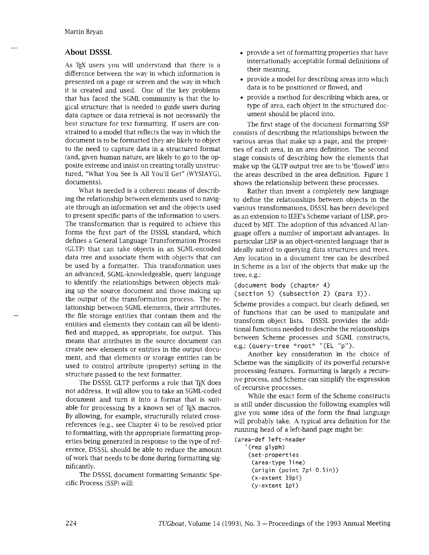### **About DSSSL**

As TEX users you will understand that there is a difference between the way in which information is presented on a page or screen and the way in which it is created and used. One of the key problems that has faced the SGML community is that the logical structure that is needed to guide users during data capture or data retrieval is not necessarily the best structure for text formatting. If users are constrained to a model that reflects the way in which the document is to be formatted they are likely to object to the need to capture data in a structured format (and, given human nature, are likely to go to the opposite extreme and insist on creating totally unstructured, "What You See Is All You'll Get" (WYSIAYG), documents).

What is needed is a coherent means of describing the relationship between elements used to navigate through an information set and the objects used to present specific parts of the information to users. The transformation that is required to achieve this forms the first part of the DSSSL standard, which defines a General Language Transformation Process (GLTP) that can take objects in an SGML-encoded data tree and associate them with objects that can be used by a formatter. This transformation uses an advanced, SGML-knowledgeable, query language to identify the relationships between objects making up the source document and those making up the output of the transformation process. The relationship between SGML elements, their attributes, the file storage entities that contain them and the entities and elements they contain can all be identified and mapped, as appropriate, for output. This means that attributes in the source document can create new elements or entities in the output document, and that elements or storage entities can be used to control attribute (property) setting in the structure passed to the text formatter.

The DSSSL GLTP performs a role that TEX does not address. It will allow you to take an SGML-coded document and turn it into a format that is suitable for processing by a known set of T<sub>F</sub>X macros. By allowing, for example, structurally related crossreferences (e.g., see Chapter 4) to be resolved prior to formatting, with the appropriate formatting properties being generated in response to the type of reference, DSSSL should be able to reduce the amount of work that needs to be done during formatting significantly.

The DSSSL document formatting Semantic Specific Process (SSP) will:

- provide a set of formatting properties that have internationally acceptable formal definitions of their meaning,
- provide a model for describing areas into which data is to be positioned or flowed, and
- provide a method for describing which area, or type of area, each object in the structured document should be placed into.

The first stage of the document formatting SSP consists of describing the relationships between the various areas that make up a page, and the properties of each area, in an area definition. The second stage consists of describing how the elements that make up the GLTP output tree are to be 'flowed' into the areas described in the area definition. Figure 1 shows the relationship between these processes.

Rather than invent a completely new language to define the relationships between objects in the various transformations, DSSSL has been developed as an extension to IEEE's Scheme variant of LISP, produced by MIT. The adoption of this advanced AI language offers a number of important advantages. In particular LISP is an object-oriented language that is ideally suited to querying data structures and trees. Any location in a document tree can be described in Scheme as a list of the objects that make up the tree, e.g.:

(document body (chapter 4)

(section 5) (subsection 2) (para 3)).

Scheme provides a compact, but clearly defined, set of functions that can be used to manipulate and transform object lists. DSSSL provides the additional functions needed to describe the relationships between Scheme processes and SGML constructs, e.g.: (query-tree "root\* ' (EL **"p").** 

Another key consideration in the choice of Scheme was the simplicity of its powerful recursive processing features. Formatting is largely a recursive process, and Scheme can simplify the expression of recursive processes.

Whle the exact form of the Scheme constructs is still under discussion the following examples will give you some idea of the form the final language will probably take. A typical area definition for the running head of a left-hand page might be:

(area-def left-header ' (rep glyph) (set-properti es (area-type line) (origin (point 7pi 0.5in)) (x-extent 39pi) (y-extent lpi)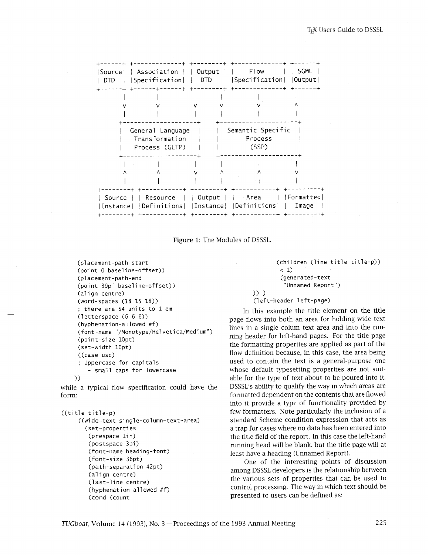| Source <br>DTD | Association     Output<br>Specification   DTD                 |  | F <sub>l</sub> ow<br> Specification   Output | SGML                |
|----------------|---------------------------------------------------------------|--|----------------------------------------------|---------------------|
|                |                                                               |  |                                              |                     |
|                | General Language<br>Transformation<br>Process (GLTP)          |  | Semantic Specific<br>Process<br>(SSP)        |                     |
|                |                                                               |  |                                              |                     |
| Source         | Resource  <br>Instance   Definitions   Instance   Definitions |  | Output     Area                              | Formatted <br>Image |



```
(placement-path-start 
 (point 0 baseline-offset)) 
 (placement-path-end 
  (point 39pi baseline-offset))<br>(align centre)<br><
 (word-spaces (18 15 18)) 
 ; there are 54 units to 1 em 
 (letterspace (6 6 6)) 
 (hyphenation-allowed #f)
 (font-name "/Monotype/Hel veti ca/Medi um") 
 (point-size 10pt)
 (set-width 10pt) 
 ((case usc) 
 ; Uppercase for capitals 
     - small caps for lowercase 
)
```
while a typical flow specification could have the form:

```
((title ti tle-p) 
     ((wide-text single-column-text-area)
        (set-properties<br>(prespace lin)
         (postspace 3pi) 
         (font-name heading-font) 
         (font-si ze 36pt) 
         (path-separation 42pt)
         (align centre)
         (last-line centre) 
         (hyphenation-allowed #f)
         (cond (count
```

```
(children (line title title-p))
 < 1) 
 (generated-text 
  "Unnamed Report")
```

```
1) 1
```
(left-header left-page)

In this example the title element on the title page flows into both an area for holding wide text lines in a single colum text area and into the running header for left-hand pages. For the title page the formatting properties are applied as part of the flow definition because, in this case, the area being used to contain the text is a general-purpose one whose default typesetting properties are not suitable for the type of text about to be poured into it. DSSSL's ability to qualify the way in which areas are formatted dependent on the contents that are flowed into it provide a type of functionality provided by few formatters. Note particularly the inclusion of a standard Scheme condition expression that acts as a trap for cases where no data has been entered into the title field of the report. In this case the left-hand running head will be blank, but the title page will at least have a heading (Unnamed Report).

One of the interesting points of discussion among DSSSL developers is the relationship between the various sets of properties that can be used to control processing. The way in which text should be presented to users can be defined as: